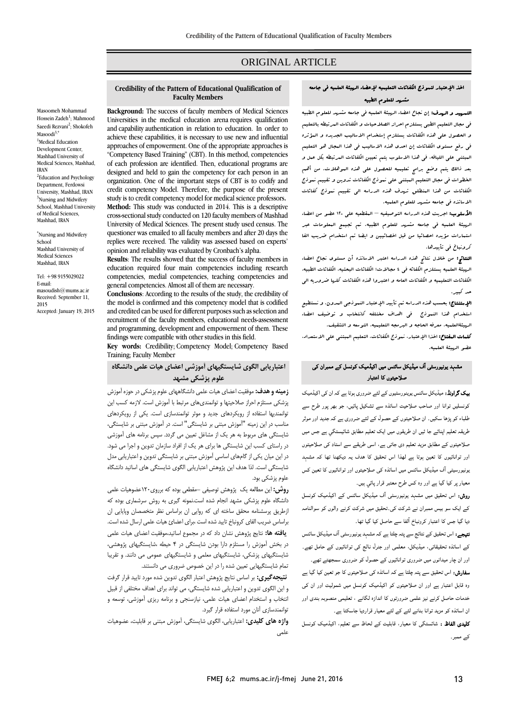# ORIGINAL ARTICLE

#### **Credibility of the Pattern of Educational Qualification of Faculty Members**

Masoomeh Mohammad Hossein Zade[h](http://fmej.mums.ac.ir/article_7510.html#au1)<sup>1</sup>; Mahmood Saeedi Rezva[ni](http://fmej.mums.ac.ir/article_7510.html#au2)<sup>2</sup>; Shokofeh Masoodi<sup>[3,\\*](http://fmej.mums.ac.ir/article_7510.html#au3)</sup>

<sup>1</sup>Medical Education Development Center, Mashhad University of Medical Sciences, Mashhad, IRAN <sup>2</sup>Education and Psychology Department, Ferdowsi University, Mashhad, IRAN <sup>3</sup>Nursing and Midwifery School, Mashhad University of Medical Sciences,

\*Nursing and Midwifery School Mashhad University of Medical Sciences Mashhad, IRAN

Mashhad, IRAN

Tel: +98 9155029022 E-mail: masoudish@mums.ac.ir Received: September 11, 2015 Accepted: January 19, 2015

**Background:** The success of faculty members of Medical Sciences Universities in the medical education arena requires qualification and capability authentication in relation to education. In order to achieve these capabilities, it is necessary to use new and influential approaches of empowerment. One of the appropriate approaches is "Competency Based Training" (CBT). In this method, competencies of each profession are identified. Then, educational programs are designed and held to gain the competency for each person in an organization. One of the important steps of CBT is to codify and credit competency Model. Therefore, the purpose of the present study is to credit competency model for medical science professors**. Method:** This study was conducted in 2014. This is a descriptive cross-sectional study conducted on 120 faculty members of Mashhad University of Medical Sciences. The present study used census. The questioner was emailed to all faculty members and after 20 days the replies were received. The validity was assessed based on experts' opinion and reliability was evaluated by Cronbach's alpha.

**Results**: The results showed that the success of faculty members in education required four main competencies including research competencies, medial competencies, teaching competencies and general competencies. Almost all of them are necessary.

**Conclusions**: According to the results of the study, the credibility of the model is confirmed and this competency model that is codified and credited can be used for different purposes such as selection and recruitment of the faculty members, educational needs-assessment and programming, development and empowerment of them. These findings were compatible with other studies in this field.

**Key words:** [Credibility;](http://fmej.mums.ac.ir/?_action=article&kw=20164&_kw=Credibility) [Competency Model;](http://fmej.mums.ac.ir/?_action=article&kw=20165&_kw=Competency+Model) [Competency Based](http://fmej.mums.ac.ir/?_action=article&kw=20166&_kw=Competency+Based+Training)  [Training;](http://fmej.mums.ac.ir/?_action=article&kw=20166&_kw=Competency+Based+Training) [Faculty Member](http://fmej.mums.ac.ir/?_action=article&kw=1311&_kw=Faculty+Member)

# **اعتباريابي الگوي شايستگيهاي آموزشي اعضاي هيات علمي دانشگاه علوم پزشکي مشهد**

**زمينه و هدف:** موفقيت اعضای هيات علمی دانشگاههای علوم پزشکی در حوزه آموزش پزشکی مستلزم احراز صالحيتها و توانمندیهای مرتبط با آموزش است. الزمه کسب اين توانمنديها استفاده از رويکردهای جديد و موثر توانمندسازی است. يکی از رويکردهای مناسب در اين زمينه "[آموزش مبتنی بر شايستگی](http://www.tuka.ir/hrm/cbtd/)" است. در آموزش مبتنی بر شايستگی، شايستگی های مربوط به هر يک از مشاغل تعيين می گردد. سپس برنامه های آموزشی در راستای کسب اين شايستگی ها برای هر يک از افراد سازمان تدوين و اجرا می شود. در اين ميان يکی از گامهای اساسی آموزش مبتنی بر شايستگی تدوين و اعتباريابی مدل شايستگی است. لذا هدف اين پژوهش اعتباريابی الگوی شايستگی های اساتيد دانشگاه علوم پزشکی بود.

**روش:** اين مطالعه يک پژوهش توصيفی –مقطعی بوده که برروی120عضوهيات علمی دانشگاه علوم پزشکی مشهد انجام شده است.نمونه گيری به روش سرشماری بوده که ازطريق پرسشنامه محقق ساخته ای که روايی ان براساس نظر متخصصان وپايايی ان براساس ضريب الفای کرونباخ تاييد شده است ،برای اعضائ هيات علمی ارسال شده است. **يافته ها:** نتايج پژوهش نشان داد که در مجموع اساتيد،موفقيت اعضای هيات علمی در بخش آموزش را مستلزم دارا بودن شايستگی در 4 حيطه ،شايستگيهای پژوهشی، شايستگيهای پزشکی، شايستگيهای معلمی و شايستگيهای عمومی می دانند. و تقريبا تمام شايستگيهايی تعيين شده را در اين خصوص ضروری می دانستند.

**نتيجهگيري:** بر اساس نتايج پژوهش اعتبار الگوی تدوين شده مورد تاييد قرار گرفت و اين الگوی تدوين و اعتباريابی شده شايستگی، می تواند برای اهداف مختلفی از قبيل انتخاب و استخدام اعضای هيات علمی، نيازسنجی و برنامه ريزی آموزشی، توسعه و توانمندسازی آنان مورد استفاده قرار گيرد.

**واژه هاي کليدي:** اعتباريابی، الگوی شايستگی، آموزش مبتنی بر قابليت، عضوهيات علمی اخذ اإلعتبار لنموذج الكفائات التعليميه إلعضاء الهيئة العلميه في جامعه مشهد للعلوم الطبيه

التمهيد و الهدف: إن نجاح اعضاء الهيئة العلميه في جامعه مشهد للعلوم الطبيه في مجال التعليم الطبي يستلزم احراز الصالحيات و الكفائات المرتبطه بالتعليم و الحصول علي هذه الكفائات يستلزم إستخدام االساليب الجديده و المؤثره في رفع مستوي الكفائات إن احدي هذه االساليب في هذا المجال هو التعليم المبتني علي اللياقه، في هذا االسلوب يتم تعيين الكفائات المرتبطه بكل عمل و بعد ذالك يتم وضع برامج تعليميه للحصول علي هذه الموهالت. من أهم الخطوات في مجال التعليم المبتني علي نموذج الكفائات تدوين و تقييم نموذج الكفائات من هذا المنطلق تهدف هذه الدراسه الي تقييم نموذج كفائات االساتذه في جامعه مشهد للعلوم العلميه.

األسلوب: اجريت هذه الدراسه التوصيفيه – المقطعيه علي 120 عضو من اعضاء الهيئة العلميه في جامعه مشهد للعلوم الطبيه. تم تجيمع المعلومات عبر استمارات مؤيده احصائيا من قبل اخصائيين و ايضا تم استخدام ضريب الفا كرونباخ في تأييدها.

النتائج: من خالل نتائج هذه الدراسه اعتبر االساتذه أن مستوي نجاح اعضاء الهيئة العلميه يستلزم الكفائه في 4 مجاالت: الكفائات البحثيه، الكفائات الطبيه، الكفائات التعليميه و الكفائات العامه و اعتبروا هذه الكفائات كلها ضروريه الي حد كبير.

اإلستنتاج: بحسب هذه الدراسه تم تأييد اإلعتبار النموذجي المدون. و نستطيع استخدام هذا النموذج في اهداف مختلفه كانتخاب و توضيف اعضاء الهيئةالعلميه، معرفه الحاجه و البرمجه التعليميه، التوسعه و التثقيف.

كلمات المفتاح: اخذا اإلعتبار، نموذج الكفائات، التعليم المبتني علي االستعداد، عضو الهيئة العلميه.

# مشہد یونیورسٹی آف میڈیکل سائنس میں اکیڈمیک کونسل کے ممبران کی صلاحیتوں کا اعتبار

بیک گراونڈ: میڈیکل سائںس یوینورسٹیوں کے لئے ضروری ہوتا ہے کہ ان کی اکیڈمیک کونسلیں توانا اور صاحب صلاحیت اساتذہ سے تشکیل پائيں، جو بھر پور طرح سے طلباء کو پڑھا سکیں۔ ان صلاحیتوں کے حصول کے لئے ضروری ہے کہ جدید اور موثر طریقہ تعلیم اپنائے جا ئيں ان طریقوں میں ایک تعلیم مطابق شائیستگي ہے جس میں صلاحیتوں کے مطابق مزید تعلیم دی جاتی ہے، اسی طریقے سے استاد کی صلاحیتوں اور توانائيوں کا تعین ہوتا ہے لھذا اس تحقیق کا ھدف یہ دیکھنا تھا کہ مشہد یونیورسیٹی آف میڈیکل سائنس میں اساتذہ کی صلاحیتوں اور توانائیوں کا تعین کس معیار پر کیا گيا ہے اور وہ کس طرح معتبر قرار پائي ہیں۔

روش: اس تحقیق میں مشہد یونیورسٹی ا ف میڈیکل سائںس کے اکیڈمیک کونسل کے ایک سو بیس ممبران نے شرکت کی۔تحقیق میں شرکت کرنے والوں کو سوالنامہ دیا گيا جس کا اعتبار کرونباخ ا لفا سے حاصل کیا گيا تھا۔

**نتیجے:** اس تحقیق کے نتائج سے پتہ چلتا ہے کہ مشہد یونیورسٹی آف میڈیکل سائنس کے اساتذہ تحقیقاتی، میڈیکل، معلمی اور جنرل نالج کی توانائيوں کے حامل تھے۔ اور ان چار میدانوں میں ضروری توانائیوں کے حصول کو ضروری سمجھتے تھے۔

**سفارش:** اس تحقیق سے پتہ چلتا ہے کہ اساتذہ کی صلاحیتوں کا جو تعین کیا گیا ہے وہ قابل اعتبار ہے اور ان صلاحیتوں کو اکیڈمیک کونسل میں شمولیت اور ان کی خدمات حاصل کرنے نیز علمی ضرورتوں کا اندازہ لگانے ، تعلیمی منصوبہ بندی اور ان اساتذہ کو مزید توانا بنانے لئے کے لئے معیار قراردیا جاسکتا ہے۔

کلیدی الفاظ : شائستگی کا معیار، قابلیت کے لحاظ سے تعلیم، اکیڈمیک کونسل کے ممبر۔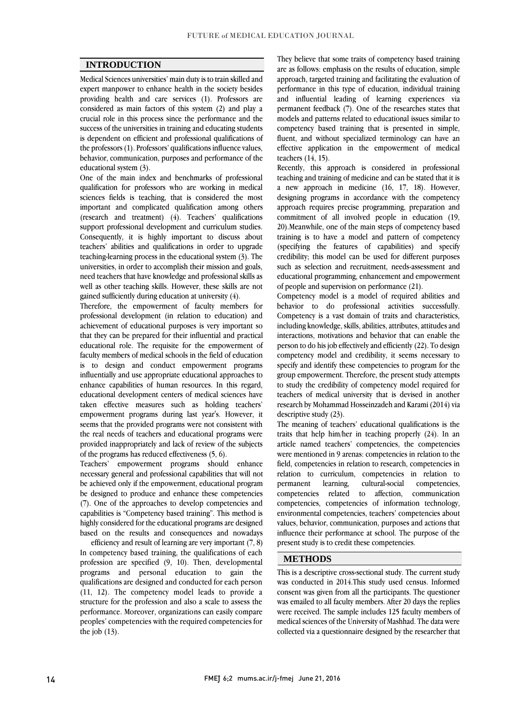## **INTRODUCTION**

Medical Sciences universities' main duty is to train skilled and expert manpower to enhance health in the society besides providing health and care services (1). Professors are considered as main factors of this system (2) and play a crucial role in this process since the performance and the success of the universities in training and educating students is dependent on efficient and professional qualifications of the professors (1). Professors' qualifications influence values, behavior, communication, purposes and performance of the educational system (3).

One of the main index and benchmarks of professional qualification for professors who are working in medical sciences fields is teaching, that is considered the most important and complicated qualification among others (research and treatment) (4). Teachers' qualifications support professional development and curriculum studies. Consequently, it is highly important to discuss about teachers' abilities and qualifications in order to upgrade teaching-learning process in the educational system (3). The universities, in order to accomplish their mission and goals, need teachers that have knowledge and professional skills as well as other teaching skills. However, these skills are not gained sufficiently during education at university (4).

Therefore, the empowerment of faculty members for professional development (in relation to education) and achievement of educational purposes is very important so that they can be prepared for their influential and practical educational role. The requisite for the empowerment of faculty members of medical schools in the field of education is to design and conduct empowerment programs influentially and use appropriate educational approaches to enhance capabilities of human resources. In this regard, educational development centers of medical sciences have taken effective measures such as holding teachers' empowerment programs during last year's. However, it seems that the provided programs were not consistent with the real needs of teachers and educational programs were provided inappropriately and lack of review of the subjects of the programs has reduced effectiveness (5, 6).

Teachers' empowerment programs should enhance necessary general and professional capabilities that will not be achieved only if the empowerment, educational program be designed to produce and enhance these competencies (7). One of the approaches to develop competencies and capabilities is "Competency based training". This method is highly considered for the educational programs are designed based on the results and consequences and nowadays

efficiency and result of learning are very important (7, 8) In competency based training, the qualifications of each profession are specified (9, 10). Then, developmental programs and personal education to gain the qualifications are designed and conducted for each person (11, 12). The competency model leads to provide a structure for the profession and also a scale to assess the performance. Moreover, organizations can easily compare peoples' competencies with the required competencies for the job (13).

They believe that some traits of competency based training are as follows: emphasis on the results of education, simple approach, targeted training and facilitating the evaluation of performance in this type of education, individual training and influential leading of learning experiences via permanent feedback (7). One of the researches states that models and patterns related to educational issues similar to competency based training that is presented in simple, fluent, and without specialized terminology can have an effective application in the empowerment of medical teachers (14, 15).

Recently, this approach is considered in professional teaching and training of medicine and can be stated that it is a new approach in medicine (16, 17, 18). However, designing programs in accordance with the competency approach requires precise programming, preparation and commitment of all involved people in education (19, 20).Meanwhile, one of the main steps of competency based training is to have a model and pattern of competency (specifying the features of capabilities) and specify credibility; this model can be used for different purposes such as selection and recruitment, needs-assessment and educational programming, enhancement and empowerment of people and supervision on performance (21).

Competency model is a model of required abilities and behavior to do professional activities successfully. Competency is a vast domain of traits and characteristics, including knowledge, skills, abilities, attributes, attitudes and interactions, motivations and behavior that can enable the person to do his job effectively and efficiently (22). To design competency model and credibility, it seems necessary to specify and identify these competencies to program for the group empowerment. Therefore, the present study attempts to study the credibility of competency model required for teachers of medical university that is devised in another research by Mohammad Hosseinzadeh and Karami (2014) via descriptive study (23).

The meaning of teachers' educational qualifications is the traits that help him/her in teaching properly (24). In an article named teachers' competencies, the competencies were mentioned in 9 arenas: competencies in relation to the field, competencies in relation to research, competencies in relation to curriculum, competencies in relation to permanent learning, cultural-social competencies, competencies related to affection, communication competencies, competencies of information technology, environmental competencies, teachers' competencies about values, behavior, communication, purposes and actions that influence their performance at school. The purpose of the present study is to credit these competencies.

### **METHODS**

This is a descriptive cross-sectional study. The current study was conducted in 2014.This study used census. Informed consent was given from all the participants. The questioner was emailed to all faculty members. After 20 days the replies were received. The sample includes 125 faculty members of medical sciences of the University of Mashhad. The data were collected via a questionnaire designed by the researcher that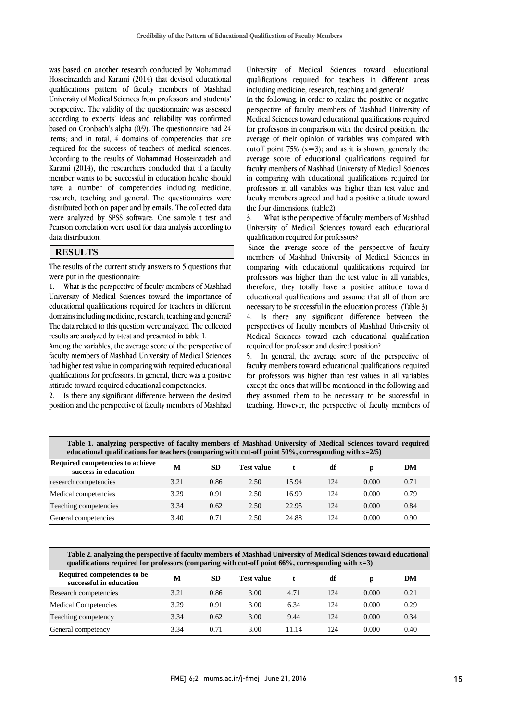was based on another research conducted by Mohammad Hosseinzadeh and Karami (2014) that devised educational qualifications pattern of faculty members of Mashhad University of Medical Sciences from professors and students' perspective. The validity of the questionnaire was assessed according to experts' ideas and reliability was confirmed based on Cronbach's alpha (0/9). The questionnaire had 24 items; and in total, 4 domains of competencies that are required for the success of teachers of medical sciences. According to the results of Mohammad Hosseinzadeh and Karami (2014), the researchers concluded that if a faculty member wants to be successful in education he/she should have a number of competencies including medicine, research, teaching and general. The questionnaires were distributed both on paper and by emails. The collected data were analyzed by SPSS software. One sample t test and Pearson correlation were used for data analysis according to data distribution.

#### **RESULTS**

The results of the current study answers to 5 questions that were put in the questionnaire:

1. What is the perspective of faculty members of Mashhad University of Medical Sciences toward the importance of educational qualifications required for teachers in different domains including medicine, research, teaching and general? The data related to this question were analyzed. The collected results are analyzed by t-test and presented in table 1.

Among the variables, the average score of the perspective of faculty members of Mashhad University of Medical Sciences had higher test value in comparing with required educational qualifications for professors. In general, there was a positive attitude toward required educational competencies.

2. Is there any significant difference between the desired position and the perspective of faculty members of Mashhad University of Medical Sciences toward educational qualifications required for teachers in different areas including medicine, research, teaching and general?

In the following, in order to realize the positive or negative perspective of faculty members of Mashhad University of Medical Sciences toward educational qualifications required for professors in comparison with the desired position, the average of their opinion of variables was compared with cutoff point 75%  $(x=3)$ ; and as it is shown, generally the average score of educational qualifications required for faculty members of Mashhad University of Medical Sciences in comparing with educational qualifications required for professors in all variables was higher than test value and faculty members agreed and had a positive attitude toward the four dimensions. (table2)

3. What is the perspective of faculty members of Mashhad University of Medical Sciences toward each educational qualification required for professors?

Since the average score of the perspective of faculty members of Mashhad University of Medical Sciences in comparing with educational qualifications required for professors was higher than the test value in all variables, therefore, they totally have a positive attitude toward educational qualifications and assume that all of them are necessary to be successful in the education process. (Table 3) 4. Is there any significant difference between the perspectives of faculty members of Mashhad University of Medical Sciences toward each educational qualification required for professor and desired position?

5. In general, the average score of the perspective of faculty members toward educational qualifications required for professors was higher than test values in all variables except the ones that will be mentioned in the following and they assumed them to be necessary to be successful in teaching. However, the perspective of faculty members of

| educational qualifications for teachers (comparing with cut-off point 50%, corresponding with $x=2/5$ )     |
|-------------------------------------------------------------------------------------------------------------|
| Table 1. analyzing perspective of faculty members of Mashhad University of Medical Sciences toward required |

| <b>Required competencies to achieve</b><br>success in education | M    | <b>SD</b> | <b>Test value</b> |       | df  | n     | DM   |
|-----------------------------------------------------------------|------|-----------|-------------------|-------|-----|-------|------|
| research competencies                                           | 3.21 | 0.86      | 2.50              | 15.94 | 124 | 0.000 | 0.71 |
| Medical competencies                                            | 3.29 | 0.91      | 2.50              | 16.99 | 124 | 0.000 | 0.79 |
| Teaching competencies                                           | 3.34 | 0.62      | 2.50              | 22.95 | 124 | 0.000 | 0.84 |
| General competencies                                            | 3.40 | 0.71      | 2.50              | 24.88 | 124 | 0.000 | 0.90 |

| Table 2. analyzing the perspective of faculty members of Mashhad University of Medical Sciences toward educational<br>qualifications required for professors (comparing with cut-off point $66\%$ , corresponding with $x=3$ ) |      |      |                   |       |     |       |      |  |
|--------------------------------------------------------------------------------------------------------------------------------------------------------------------------------------------------------------------------------|------|------|-------------------|-------|-----|-------|------|--|
| Required competencies to be<br>successful in education                                                                                                                                                                         | M    | SD   | <b>Test value</b> |       | df  | р     | DM   |  |
| Research competencies                                                                                                                                                                                                          | 3.21 | 0.86 | 3.00              | 4.71  | 124 | 0.000 | 0.21 |  |
| <b>Medical Competencies</b>                                                                                                                                                                                                    | 3.29 | 0.91 | 3.00              | 6.34  | 124 | 0.000 | 0.29 |  |
| Teaching competency                                                                                                                                                                                                            | 3.34 | 0.62 | 3.00              | 9.44  | 124 | 0.000 | 0.34 |  |
| General competency                                                                                                                                                                                                             | 3.34 | 0.71 | 3.00              | 11.14 | 124 | 0.000 | 0.40 |  |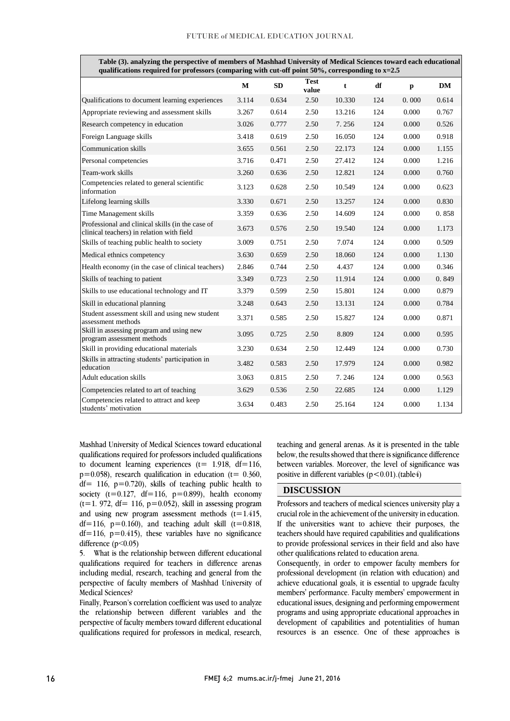| qualifications required for professors (comparing with cut-off point 50%, corresponding to x=2.5 |              |           |                      |        |     |              |           |
|--------------------------------------------------------------------------------------------------|--------------|-----------|----------------------|--------|-----|--------------|-----------|
|                                                                                                  | $\mathbf{M}$ | <b>SD</b> | <b>Test</b><br>value | t      | df  | $\mathbf{p}$ | <b>DM</b> |
| Qualifications to document learning experiences                                                  | 3.114        | 0.634     | 2.50                 | 10.330 | 124 | 0.000        | 0.614     |
| Appropriate reviewing and assessment skills                                                      | 3.267        | 0.614     | 2.50                 | 13.216 | 124 | 0.000        | 0.767     |
| Research competency in education                                                                 | 3.026        | 0.777     | 2.50                 | 7.256  | 124 | 0.000        | 0.526     |
| Foreign Language skills                                                                          | 3.418        | 0.619     | 2.50                 | 16.050 | 124 | 0.000        | 0.918     |
| Communication skills                                                                             | 3.655        | 0.561     | 2.50                 | 22.173 | 124 | 0.000        | 1.155     |
| Personal competencies                                                                            | 3.716        | 0.471     | 2.50                 | 27.412 | 124 | 0.000        | 1.216     |
| Team-work skills                                                                                 | 3.260        | 0.636     | 2.50                 | 12.821 | 124 | 0.000        | 0.760     |
| Competencies related to general scientific<br>information                                        | 3.123        | 0.628     | 2.50                 | 10.549 | 124 | 0.000        | 0.623     |
| Lifelong learning skills                                                                         | 3.330        | 0.671     | 2.50                 | 13.257 | 124 | 0.000        | 0.830     |
| Time Management skills                                                                           | 3.359        | 0.636     | 2.50                 | 14.609 | 124 | 0.000        | 0.858     |
| Professional and clinical skills (in the case of<br>clinical teachers) in relation with field    | 3.673        | 0.576     | 2.50                 | 19.540 | 124 | 0.000        | 1.173     |
| Skills of teaching public health to society                                                      | 3.009        | 0.751     | 2.50                 | 7.074  | 124 | 0.000        | 0.509     |
| Medical ethnics competency                                                                       | 3.630        | 0.659     | 2.50                 | 18.060 | 124 | 0.000        | 1.130     |
| Health economy (in the case of clinical teachers)                                                | 2.846        | 0.744     | 2.50                 | 4.437  | 124 | 0.000        | 0.346     |
| Skills of teaching to patient                                                                    | 3.349        | 0.723     | 2.50                 | 11.914 | 124 | 0.000        | 0.849     |
| Skills to use educational technology and IT                                                      | 3.379        | 0.599     | 2.50                 | 15.801 | 124 | 0.000        | 0.879     |
| Skill in educational planning                                                                    | 3.248        | 0.643     | 2.50                 | 13.131 | 124 | 0.000        | 0.784     |
| Student assessment skill and using new student<br>assessment methods                             | 3.371        | 0.585     | 2.50                 | 15.827 | 124 | 0.000        | 0.871     |
| Skill in assessing program and using new<br>program assessment methods                           | 3.095        | 0.725     | 2.50                 | 8.809  | 124 | 0.000        | 0.595     |
| Skill in providing educational materials                                                         | 3.230        | 0.634     | 2.50                 | 12.449 | 124 | 0.000        | 0.730     |
| Skills in attracting students' participation in<br>education                                     | 3.482        | 0.583     | 2.50                 | 17.979 | 124 | 0.000        | 0.982     |
| <b>Adult education skills</b>                                                                    | 3.063        | 0.815     | 2.50                 | 7.246  | 124 | 0.000        | 0.563     |
| Competencies related to art of teaching                                                          | 3.629        | 0.536     | 2.50                 | 22.685 | 124 | 0.000        | 1.129     |
| Competencies related to attract and keep<br>students' motivation                                 | 3.634        | 0.483     | 2.50                 | 25.164 | 124 | 0.000        | 1.134     |

**Table (3). analyzing the perspective of members of Mashhad University of Medical Sciences toward each educational** 

Mashhad University of Medical Sciences toward educational qualifications required for professors included qualifications to document learning experiences  $(t= 1.918, df=116,$  $p=0.058$ ), research qualification in education (t= 0.360,  $df = 116$ ,  $p=0.720$ , skills of teaching public health to society ( $t=0.127$ ,  $df=116$ ,  $p=0.899$ ), health economy  $(t=1. 972, df= 116, p=0.052)$ , skill in assessing program and using new program assessment methods  $(t=1.415)$ , df=116,  $p=0.160$ ), and teaching adult skill (t=0.818,  $df=116$ ,  $p=0.415$ ), these variables have no significance difference  $(p<0.05)$ 

5. What is the relationship between different educational qualifications required for teachers in difference arenas including medial, research, teaching and general from the perspective of faculty members of Mashhad University of Medical Sciences?

Finally, Pearson's correlation coefficient was used to analyze the relationship between different variables and the perspective of faculty members toward different educational qualifications required for professors in medical, research, teaching and general arenas. As it is presented in the table below, the results showed that there is significance difference between variables. Moreover, the level of significance was positive in different variables  $(p<0.01)$ .(table4)

## **DISCUSSION**

Professors and teachers of medical sciences university play a crucial role in the achievement of the university in education. If the universities want to achieve their purposes, the teachers should have required capabilities and qualifications to provide professional services in their field and also have other qualifications related to education arena.

Consequently, in order to empower faculty members for professional development (in relation with education) and achieve educational goals, it is essential to upgrade faculty members' performance. Faculty members' empowerment in educational issues, designing and performing empowerment programs and using appropriate educational approaches in development of capabilities and potentialities of human resources is an essence. One of these approaches is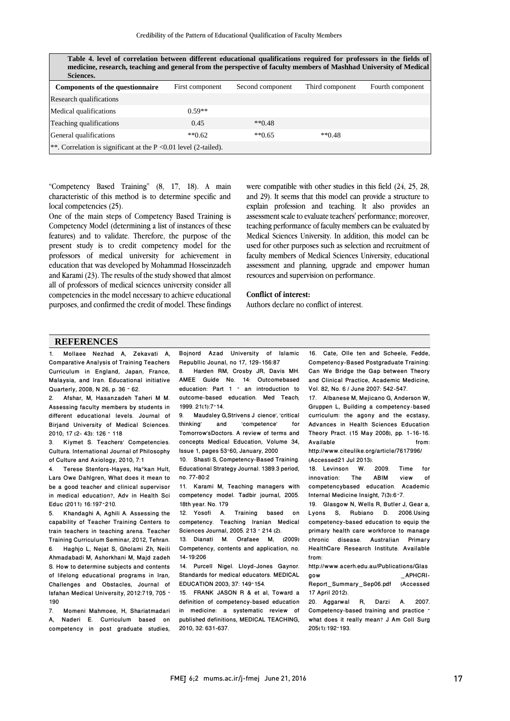| Table 4. level of correlation between different educational qualifications required for professors in the fields of<br>medicine, research, teaching and general from the perspective of faculty members of Mashhad University of Medical<br>Sciences. |                 |                  |                 |                  |  |  |  |  |
|-------------------------------------------------------------------------------------------------------------------------------------------------------------------------------------------------------------------------------------------------------|-----------------|------------------|-----------------|------------------|--|--|--|--|
| <b>Components of the questionnaire</b>                                                                                                                                                                                                                | First component | Second component | Third component | Fourth component |  |  |  |  |
| Research qualifications                                                                                                                                                                                                                               |                 |                  |                 |                  |  |  |  |  |
| Medical qualifications                                                                                                                                                                                                                                | $0.59**$        |                  |                 |                  |  |  |  |  |
| Teaching qualifications                                                                                                                                                                                                                               | 0.45            | $*$ $*$ 0.48     |                 |                  |  |  |  |  |
| General qualifications                                                                                                                                                                                                                                | $**0.62$        | $*$ $*$ 0.65     | $*$ $*$ 0.48    |                  |  |  |  |  |
| **. Correlation is significant at the $P \le 0.01$ level (2-tailed).                                                                                                                                                                                  |                 |                  |                 |                  |  |  |  |  |

"Competency Based Training" (8, 17, 18). A main characteristic of this method is to determine specific and local competencies (25).

One of the main steps of Competency Based Training is Competency Model (determining a list of instances of these features) and to validate. Therefore, the purpose of the present study is to credit competency model for the professors of medical university for achievement in education that was developed by Mohammad Hosseinzadeh and Karami (23). The results of the study showed that almost all of professors of medical sciences university consider all competencies in the model necessary to achieve educational purposes, and confirmed the credit of model. These findings

were compatible with other studies in this field (24, 25, 28, and 29). It seems that this model can provide a structure to explain profession and teaching. It also provides an assessment scale to evaluate teachers' performance; moreover, teaching performance of faculty members can be evaluated by Medical Sciences University. In addition, this model can be used for other purposes such as selection and recruitment of faculty members of Medical Sciences University, educational assessment and planning, upgrade and empower human resources and supervision on performance.

#### **Conflict of interest:**

Authors declare no conflict of interest.

### **REFERENCES**

1. Mollaee Nezhad A, Zekavati A, Comparative Analysis of Training Teachers Curriculum in England, Japan, France, Malaysia, and Iran. Educational initiative Quarterly, 2008; N 26, p. 36 – 62.

2. Afshar, M, Hasanzadeh Taheri M M. Assessing faculty members by students in different educational levels. Journal of Birjand University of Medical Sciences. 2010; 17 (2- 43): 126 – 118

3. Kiymet S. Teachers' Competencies. Cultura. International Journal of Philosophy of Culture and Axiology, 2010; 7:1

4. Terese Stenfors-Hayes, Ha°kan Hult, Lars Owe Dahlgren, What does it mean to be a good teacher and clinical supervisor in medical education?, Adv in Health Sci Educ (2011) 16:197–210.

5. Khandaghi A, Aghili A. Assessing the capability of Teacher Training Centers to train teachers in teaching arena. Teacher Training Curriculum Seminar, 2012, Tehran. 6. Haghjo L, Nejat S, Gholami Zh, Neili Ahmadabadi M, Ashorkhani M, Majd zadeh S. How to determine subjects and contents of lifelong educational programs in Iran, Challenges and Obstacles, Journal of Isfahan Medical University, 2012:719, 705 – 190

7. Momeni Mahmoee, H, Shariatmadari A, Naderi E. Curriculum based on competency in post graduate studies, Bojnord Azad University of Islamic Republlic Jounal, no 17, 129-156:87

8. Harden RM, Crosby JR, Davis MH. AMEE Guide No. 14: Outcomebased education: Part 1 – an introduction to outcome-based education. Med Teach; 1999. 21(1):7–14.

9. Maudsley G,Strivens J cience', 'critical<br>thinking' and 'competence' for ' competence' Tomorrow'sDoctors. A review of terms and concepts Medical Education, Volume 34, Issue 1, pages 53–60, January, 2000

10. Shasti S, Competency-Based Training. Educational Strategy Journal. 1389.3 period, no. 77-80:2

11. Karami M, Teaching managers with competency model. Tadbir journal, 2005. 18th year. No. 179

12. Yosofi A. Training based on competency. Teaching Iranian Medical Sciences Journal, 2005. 213 – 214 (2).

13. Dianati M. Orafaee M, (2009) Competency, contents and application, no. 14-19:206

14. Purcell Nigel. Lloyd-Jones Gaynor. Standards for medical educators. MEDICAL EDUCATION 2003; 37: 149–154.

15. FRANK JASON R & et al, Toward a definition of competency-based education in medicine: a systematic review of published definitions, MEDICAL TEACHING, 2010; 32: 631-637.

16. Cate, Olle ten and Scheele, Fedde, Competency-Based Postgraduate Training: Can We Bridge the Gap between Theory and Clinical Practice, Academic Medicine, Vol. 82, No. 6 / June 2007: 542-547.

17. Albanese M, Mejicano G, Anderson W, Gruppen L, Building a competency-based curriculum: the agony and the ecstasy, Advances in Health Sciences Education Theory Pract. (15 May 2008), pp. 1-16-16. Available http://www.citeulike.org/article/7617996/

(Accessed21 Jul 2013).

18. Levinson W. 2009. Time for<br>innovation: The ABIM view of innovation: The ABIM view of competencybased education. Academic Internal Medicine Insight, 7(3):6–7.

19. Glasgow N, Wells R, Butler J, Gear a, Lyons S, Rubiano D. 2006.Using competency-based education to equip the primary health care workforce to manage chronic disease. Australian Primary HealthCare Research Institute. Available from:

http://www.acerh.edu.au/Publications/Glas \_APHCRI-<br>(Accessed

Report\_Summary\_Sep06.pdf 17 April 2012).

R. Darzi A. 2007. Competency-based training and practice – what does it really mean? J Am Coll Surg 205(1):192–193.